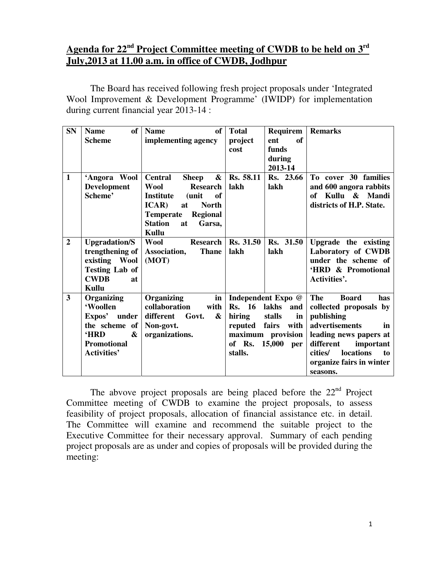# **Agenda for 22nd Project Committee meeting of CWDB to be held on 3rd July,2013 at 11.00 a.m. in office of CWDB, Jodhpur**

 The Board has received following fresh project proposals under 'Integrated Wool Improvement & Development Programme' (IWIDP) for implementation during current financial year 2013-14 :

| <b>SN</b>      | of<br><b>Name</b>        | <b>of</b><br><b>Name</b>                            | <b>Total</b>  | Requirem           | <b>Remarks</b>                    |
|----------------|--------------------------|-----------------------------------------------------|---------------|--------------------|-----------------------------------|
|                | <b>Scheme</b>            | implementing agency                                 | project       | of<br>ent          |                                   |
|                |                          |                                                     | cost          | funds              |                                   |
|                |                          |                                                     |               | during             |                                   |
|                |                          |                                                     |               | 2013-14            |                                   |
| $\mathbf{1}$   | 'Angora Wool             | $\boldsymbol{\&}$<br><b>Central</b><br><b>Sheep</b> | Rs. 58.11     | Rs. 23.66          | To cover 30 families              |
|                | <b>Development</b>       | <b>Wool</b><br><b>Research</b>                      | lakh          | lakh               | and 600 angora rabbits            |
|                | Scheme'                  | <b>Institute</b><br>of<br>(unit                     |               |                    | of Kullu & Mandi                  |
|                |                          | <b>ICAR</b> )<br><b>North</b><br>at                 |               |                    | districts of H.P. State.          |
|                |                          | <b>Regional</b><br><b>Temperate</b>                 |               |                    |                                   |
|                |                          | <b>Station</b><br>Garsa,<br>at                      |               |                    |                                   |
|                |                          | Kullu                                               |               |                    |                                   |
| $\overline{2}$ | <b>Upgradation/S</b>     | <b>Wool</b><br><b>Research</b>                      | Rs. 31.50     | Rs. 31.50          | Upgrade the existing              |
|                | trengthening of          | <b>Thane</b><br>Association,                        | lakh          | lakh               | Laboratory of CWDB                |
|                | existing Wool            | (MOT)                                               |               |                    | under the scheme of               |
|                | <b>Testing Lab of</b>    |                                                     |               |                    | 'HRD & Promotional                |
|                | <b>CWDB</b><br><b>at</b> |                                                     |               |                    | Activities'.                      |
|                | Kullu                    |                                                     |               |                    |                                   |
| 3              | Organizing               | Organizing<br>in                                    |               | Independent Expo @ | <b>The</b><br><b>Board</b><br>has |
|                | 'Woollen                 | collaboration<br>with                               | <b>Rs.</b> 16 | lakhs<br>and       | collected proposals by            |
|                | Expos' under             | different<br>Govt.<br>&                             | hiring        | in<br>stalls       | publishing                        |
|                | the scheme of            | Non-govt.                                           | reputed fairs | with               | advertisements<br>in              |
|                | &<br><b>HRD</b>          | organizations.                                      |               | maximum provision  | leading news papers at            |
|                | <b>Promotional</b>       |                                                     | of Rs.        | 15,000<br>per      | different<br>important            |
|                | <b>Activities'</b>       |                                                     | stalls.       |                    | locations<br>cities/<br>to        |
|                |                          |                                                     |               |                    | organize fairs in winter          |
|                |                          |                                                     |               |                    |                                   |
|                |                          |                                                     |               |                    | seasons.                          |

The abvove project proposals are being placed before the  $22<sup>nd</sup>$  Project Committee meeting of CWDB to examine the project proposals, to assess feasibility of project proposals, allocation of financial assistance etc. in detail. The Committee will examine and recommend the suitable project to the Executive Committee for their necessary approval. Summary of each pending project proposals are as under and copies of proposals will be provided during the meeting: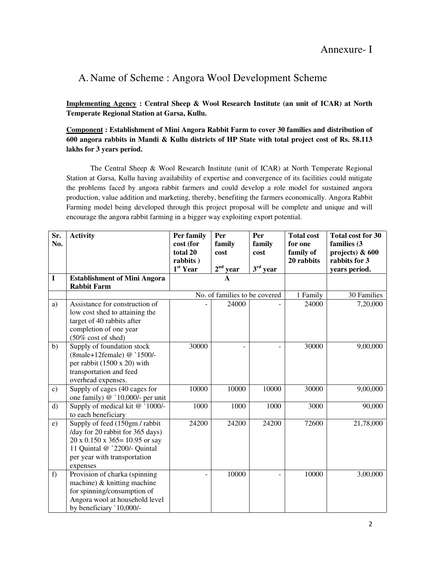# A. Name of Scheme : Angora Wool Development Scheme

**Implementing Agency : Central Sheep & Wool Research Institute (an unit of ICAR) at North Temperate Regional Station at Garsa, Kullu.** 

**Component : Establishment of Mini Angora Rabbit Farm to cover 30 families and distribution of 600 angora rabbits in Mandi & Kullu districts of HP State with total project cost of Rs. 58.113 lakhs for 3 years period.** 

 The Central Sheep & Wool Research Institute (unit of ICAR) at North Temperate Regional Station at Garsa, Kullu having availability of expertise and convergence of its facilities could mitigate the problems faced by angora rabbit farmers and could develop a role model for sustained angora production, value addition and marketing, thereby, benefiting the farmers economically. Angora Rabbit Farming model being developed through this project proposal will be complete and unique and will encourage the angora rabbit farming in a bigger way exploiting export potential.

| Sr.<br>No.    | <b>Activity</b>                                            | Per family<br>cost (for<br>total 20 | Per<br>family<br>cost         | Per<br>family<br>cost | <b>Total cost</b><br>for one<br>family of | <b>Total cost for 30</b><br>families (3<br>projects) $& 600$ |
|---------------|------------------------------------------------------------|-------------------------------------|-------------------------------|-----------------------|-------------------------------------------|--------------------------------------------------------------|
|               |                                                            | rabbits)                            |                               |                       | 20 rabbits                                | rabbits for 3                                                |
|               |                                                            | 1 <sup>st</sup> Year                | $2nd$ year                    | $3rd$ year            |                                           | years period.                                                |
| $\mathbf I$   | <b>Establishment of Mini Angora</b>                        |                                     |                               |                       |                                           |                                                              |
|               | <b>Rabbit Farm</b>                                         |                                     |                               |                       |                                           |                                                              |
|               |                                                            |                                     | No. of families to be covered |                       | 1 Family                                  | 30 Families                                                  |
| a)            | Assistance for construction of                             |                                     | 24000                         |                       | 24000                                     | 7,20,000                                                     |
|               | low cost shed to attaining the                             |                                     |                               |                       |                                           |                                                              |
|               | target of 40 rabbits after                                 |                                     |                               |                       |                                           |                                                              |
|               | completion of one year                                     |                                     |                               |                       |                                           |                                                              |
| b)            | (50% cost of shed)<br>Supply of foundation stock           | 30000                               |                               |                       | 30000                                     | 9,00,000                                                     |
|               | (8male+12female) @ `1500/-                                 |                                     |                               |                       |                                           |                                                              |
|               | per rabbit $(1500 \times 20)$ with                         |                                     |                               |                       |                                           |                                                              |
|               | transportation and feed                                    |                                     |                               |                       |                                           |                                                              |
|               | overhead expenses.                                         |                                     |                               |                       |                                           |                                                              |
| $\mathbf{c})$ | Supply of cages (40 cages for                              | 10000                               | 10000                         | 10000                 | 30000                                     | 9,00,000                                                     |
|               | one family) $@$ `10,000/- per unit                         |                                     |                               |                       |                                           |                                                              |
| $\mathbf{d}$  | Supply of medical kit @ `1000/-                            | 1000                                | 1000                          | 1000                  | 3000                                      | 90,000                                                       |
|               | to each beneficiary                                        |                                     |                               |                       |                                           |                                                              |
| e)            | Supply of feed (150gm / rabbit                             | 24200                               | 24200                         | 24200                 | 72600                                     | 21,78,000                                                    |
|               | /day for 20 rabbit for 365 days)                           |                                     |                               |                       |                                           |                                                              |
|               | $20 \times 0.150 \times 365 = 10.95$ or say                |                                     |                               |                       |                                           |                                                              |
|               | 11 Quintal @ `2200/- Quintal                               |                                     |                               |                       |                                           |                                                              |
|               | per year with transportation                               |                                     |                               |                       |                                           |                                                              |
|               | expenses                                                   |                                     |                               |                       |                                           |                                                              |
| f)            | Provision of charka (spinning                              |                                     | 10000                         | $\equiv$              | 10000                                     | 3,00,000                                                     |
|               | machine) $&$ knitting machine                              |                                     |                               |                       |                                           |                                                              |
|               | for spinning/consumption of                                |                                     |                               |                       |                                           |                                                              |
|               | Angora wool at household level<br>by beneficiary `10,000/- |                                     |                               |                       |                                           |                                                              |
|               |                                                            |                                     |                               |                       |                                           |                                                              |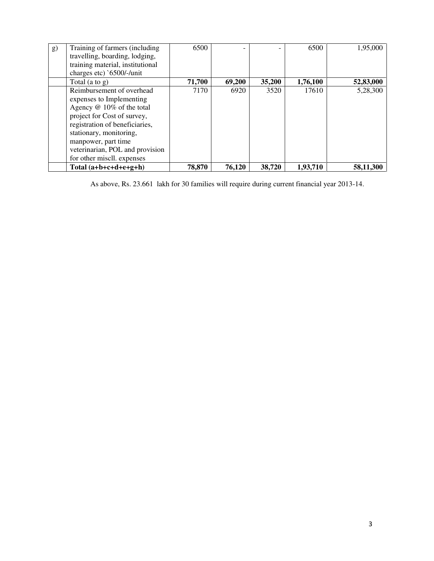| g) | Training of farmers (including   | 6500   |        |        | 6500     | 1,95,000  |
|----|----------------------------------|--------|--------|--------|----------|-----------|
|    | travelling, boarding, lodging,   |        |        |        |          |           |
|    | training material, institutional |        |        |        |          |           |
|    | charges etc) `6500/-/unit        |        |        |        |          |           |
|    | Total $(a \text{ to } g)$        | 71,700 | 69,200 | 35,200 | 1,76,100 | 52,83,000 |
|    | Reimbursement of overhead        | 7170   | 6920   | 3520   | 17610    | 5,28,300  |
|    | expenses to Implementing         |        |        |        |          |           |
|    | Agency @ 10% of the total        |        |        |        |          |           |
|    | project for Cost of survey,      |        |        |        |          |           |
|    | registration of beneficiaries,   |        |        |        |          |           |
|    | stationary, monitoring,          |        |        |        |          |           |
|    | manpower, part time              |        |        |        |          |           |
|    | veterinarian, POL and provision  |        |        |        |          |           |
|    | for other miscll. expenses       |        |        |        |          |           |
|    | Total $(a+b+c+d+e+g+h)$          | 78,870 | 76,120 | 38,720 | 1,93,710 | 58,11,300 |

As above, Rs. 23.661 lakh for 30 families will require during current financial year 2013-14.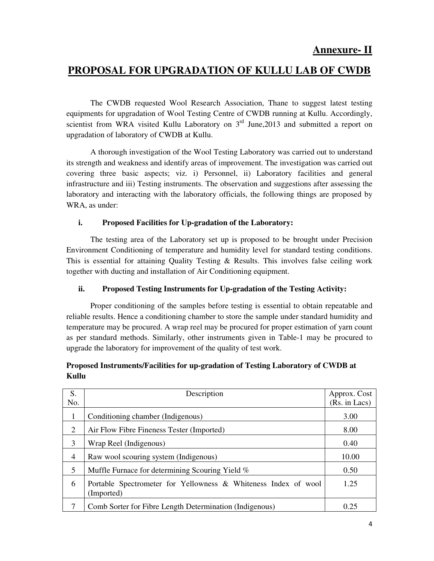# **PROPOSAL FOR UPGRADATION OF KULLU LAB OF CWDB**

 The CWDB requested Wool Research Association, Thane to suggest latest testing equipments for upgradation of Wool Testing Centre of CWDB running at Kullu. Accordingly, scientist from WRA visited Kullu Laboratory on  $3<sup>rd</sup>$  June, 2013 and submitted a report on upgradation of laboratory of CWDB at Kullu.

 A thorough investigation of the Wool Testing Laboratory was carried out to understand its strength and weakness and identify areas of improvement. The investigation was carried out covering three basic aspects; viz. i) Personnel, ii) Laboratory facilities and general infrastructure and iii) Testing instruments. The observation and suggestions after assessing the laboratory and interacting with the laboratory officials, the following things are proposed by WRA, as under:

#### **i. Proposed Facilities for Up-gradation of the Laboratory:**

The testing area of the Laboratory set up is proposed to be brought under Precision Environment Conditioning of temperature and humidity level for standard testing conditions. This is essential for attaining Quality Testing & Results. This involves false ceiling work together with ducting and installation of Air Conditioning equipment.

#### **ii. Proposed Testing Instruments for Up-gradation of the Testing Activity:**

Proper conditioning of the samples before testing is essential to obtain repeatable and reliable results. Hence a conditioning chamber to store the sample under standard humidity and temperature may be procured. A wrap reel may be procured for proper estimation of yarn count as per standard methods. Similarly, other instruments given in Table-1 may be procured to upgrade the laboratory for improvement of the quality of test work.

### **Proposed Instruments/Facilities for up-gradation of Testing Laboratory of CWDB at Kullu**

| S.  | Description                                                                  | Approx. Cost  |
|-----|------------------------------------------------------------------------------|---------------|
| No. |                                                                              | (Rs. in Lacs) |
| 1   | Conditioning chamber (Indigenous)                                            | 3.00          |
| 2   | Air Flow Fibre Fineness Tester (Imported)                                    | 8.00          |
| 3   | Wrap Reel (Indigenous)                                                       | 0.40          |
| 4   | Raw wool scouring system (Indigenous)                                        | 10.00         |
| 5   | Muffle Furnace for determining Scouring Yield %                              | 0.50          |
| 6   | Portable Spectrometer for Yellowness & Whiteness Index of wool<br>(Imported) | 1.25          |
|     | Comb Sorter for Fibre Length Determination (Indigenous)                      | 0.25          |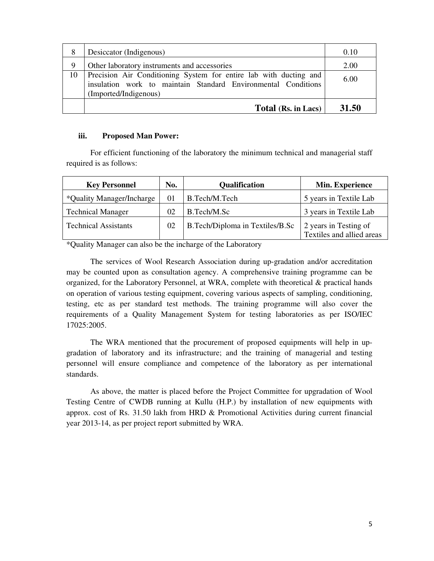| 8  | Desiccator (Indigenous)                                                                                                                                     | 0.10  |
|----|-------------------------------------------------------------------------------------------------------------------------------------------------------------|-------|
| 9  | Other laboratory instruments and accessories                                                                                                                | 2.00  |
| 10 | Precision Air Conditioning System for entire lab with ducting and<br>insulation work to maintain Standard Environmental Conditions<br>(Imported/Indigenous) | 6.00  |
|    | Total (Rs. in Lacs)                                                                                                                                         | 31.50 |

#### **iii. Proposed Man Power:**

For efficient functioning of the laboratory the minimum technical and managerial staff required is as follows:

| <b>Key Personnel</b>        | No.      | <b>Qualification</b>            | Min. Experience                                    |
|-----------------------------|----------|---------------------------------|----------------------------------------------------|
| *Quality Manager/Incharge   | $\Omega$ | B.Tech/M.Tech                   | 5 years in Textile Lab                             |
| <b>Technical Manager</b>    | 02       | B.Tech/M.Sc                     | 3 years in Textile Lab                             |
| <b>Technical Assistants</b> | 02       | B.Tech/Diploma in Textiles/B.Sc | 2 years in Testing of<br>Textiles and allied areas |

\*Quality Manager can also be the incharge of the Laboratory

The services of Wool Research Association during up-gradation and/or accreditation may be counted upon as consultation agency. A comprehensive training programme can be organized, for the Laboratory Personnel, at WRA, complete with theoretical & practical hands on operation of various testing equipment, covering various aspects of sampling, conditioning, testing, etc as per standard test methods. The training programme will also cover the requirements of a Quality Management System for testing laboratories as per ISO/IEC 17025:2005.

The WRA mentioned that the procurement of proposed equipments will help in upgradation of laboratory and its infrastructure; and the training of managerial and testing personnel will ensure compliance and competence of the laboratory as per international standards.

As above, the matter is placed before the Project Committee for upgradation of Wool Testing Centre of CWDB running at Kullu (H.P.) by installation of new equipments with approx. cost of Rs. 31.50 lakh from HRD & Promotional Activities during current financial year 2013-14, as per project report submitted by WRA.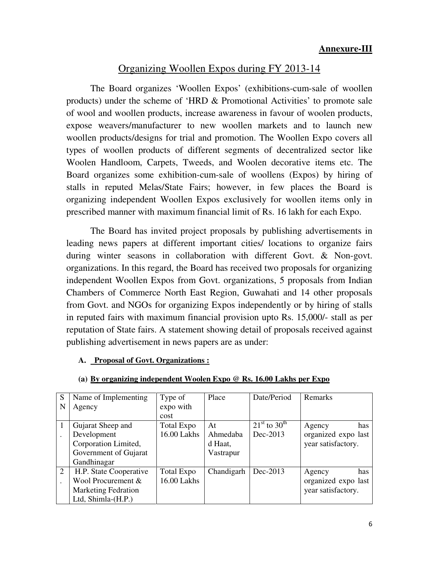# Organizing Woollen Expos during FY 2013-14

 The Board organizes 'Woollen Expos' (exhibitions-cum-sale of woollen products) under the scheme of 'HRD & Promotional Activities' to promote sale of wool and woollen products, increase awareness in favour of woolen products, expose weavers/manufacturer to new woollen markets and to launch new woollen products/designs for trial and promotion. The Woollen Expo covers all types of woollen products of different segments of decentralized sector like Woolen Handloom, Carpets, Tweeds, and Woolen decorative items etc. The Board organizes some exhibition-cum-sale of woollens (Expos) by hiring of stalls in reputed Melas/State Fairs; however, in few places the Board is organizing independent Woollen Expos exclusively for woollen items only in prescribed manner with maximum financial limit of Rs. 16 lakh for each Expo.

 The Board has invited project proposals by publishing advertisements in leading news papers at different important cities/ locations to organize fairs during winter seasons in collaboration with different Govt. & Non-govt. organizations. In this regard, the Board has received two proposals for organizing independent Woollen Expos from Govt. organizations, 5 proposals from Indian Chambers of Commerce North East Region, Guwahati and 14 other proposals from Govt. and NGOs for organizing Expos independently or by hiring of stalls in reputed fairs with maximum financial provision upto Rs. 15,000/- stall as per reputation of State fairs. A statement showing detail of proposals received against publishing advertisement in news papers are as under:

### **A. Proposal of Govt. Organizations :**

| S              | Name of Implementing       | Type of           | Place      | Date/Period                    | Remarks             |
|----------------|----------------------------|-------------------|------------|--------------------------------|---------------------|
| N              | Agency                     | expo with         |            |                                |                     |
|                |                            | cost              |            |                                |                     |
|                | Gujarat Sheep and          | Total Expo        | At         | $21^{\rm st}$ to $30^{\rm th}$ | has<br>Agency       |
|                | Development                | 16.00 Lakhs       | Ahmedaba   | $Dec-2013$                     | organized expo last |
|                | Corporation Limited,       |                   | d Haat,    |                                | year satisfactory.  |
|                | Government of Gujarat      |                   | Vastrapur  |                                |                     |
|                | Gandhinagar                |                   |            |                                |                     |
| $\overline{2}$ | H.P. State Cooperative     | <b>Total Expo</b> | Chandigarh | Dec-2013                       | has<br>Agency       |
|                | Wool Procurement &         | 16.00 Lakhs       |            |                                | organized expo last |
|                | <b>Marketing Fedration</b> |                   |            |                                | year satisfactory.  |
|                | Ltd, Shimla- $(H.P.)$      |                   |            |                                |                     |

#### **(a) By organizing independent Woolen Expo @ Rs. 16.00 Lakhs per Expo**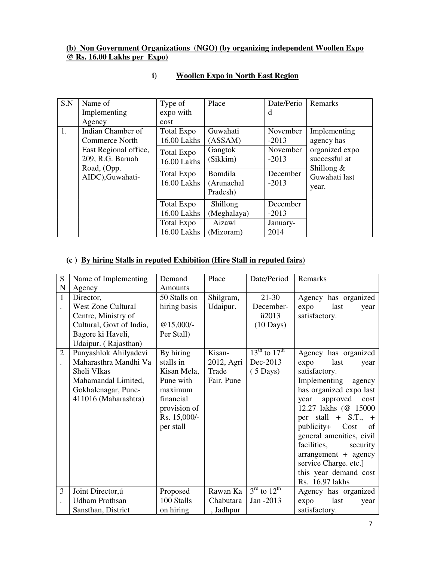#### **(b) Non Government Organizations (NGO) (by organizing independent Woollen Expo @ Rs. 16.00 Lakhs per Expo)**

| S.N | Name of<br>Implementing<br>Agency                                                                                   | Type of<br>expo with<br>cost                                                        | Place                                                                                  | Date/Perio<br>d                                                   | Remarks                                                                                                 |
|-----|---------------------------------------------------------------------------------------------------------------------|-------------------------------------------------------------------------------------|----------------------------------------------------------------------------------------|-------------------------------------------------------------------|---------------------------------------------------------------------------------------------------------|
| 1.  | Indian Chamber of<br>Commerce North<br>East Regional office,<br>209, R.G. Baruah<br>Road, (Opp.<br>AIDC), Guwahati- | Total Expo<br>16.00 Lakhs<br>Total Expo<br>16.00 Lakhs<br>Total Expo<br>16.00 Lakhs | Guwahati<br>(ASSAM)<br>Gangtok<br>(Sikkim)<br><b>Bomdila</b><br>(Arunachal<br>Pradesh) | November<br>$-2013$<br>November<br>$-2013$<br>December<br>$-2013$ | Implementing<br>agency has<br>organized expo<br>successful at<br>Shillong $&$<br>Guwahati last<br>year. |
|     |                                                                                                                     | Total Expo<br>16.00 Lakhs<br>Total Expo<br>16.00 Lakhs                              | Shillong<br>(Meghalaya)<br>Aizawl<br>(Mizoram)                                         | December<br>$-2013$<br>January-<br>2014                           |                                                                                                         |

### **i) Woollen Expo in North East Region**

### **(c ) By hiring Stalls in reputed Exhibition (Hire Stall in reputed fairs)**

| S                    | Name of Implementing      | Demand       | Place      | Date/Period                         | Remarks                  |
|----------------------|---------------------------|--------------|------------|-------------------------------------|--------------------------|
| N                    | Agency                    | Amounts      |            |                                     |                          |
| $\mathbf{1}$         | Director,                 | 50 Stalls on | Shilgram,  | $21-30$                             | Agency has organized     |
|                      | <b>West Zone Cultural</b> | hiring basis | Udaipur.   | December-                           | last<br>expo<br>year     |
|                      | Centre, Ministry of       |              |            | ü2013                               | satisfactory.            |
|                      | Cultural, Govt of India,  | $@15,000/-$  |            | $(10 \text{ Days})$                 |                          |
|                      | Bagore ki Haveli,         | Per Stall)   |            |                                     |                          |
|                      | Udaipur. (Rajasthan)      |              |            |                                     |                          |
| $\overline{2}$       | Punyashlok Ahilyadevi     | By hiring    | Kisan-     | $13^{th}$ to $17^{th}$              | Agency has organized     |
| $\ddot{\phantom{0}}$ | Maharasthra Mandhi Va     | stalls in    | 2012, Agri | Dec-2013                            | last<br>expo<br>year     |
|                      | Sheli VIkas               | Kisan Mela,  | Trade      | $(5 \text{ Days})$                  | satisfactory.            |
|                      | Mahamandal Limited,       | Pune with    | Fair, Pune |                                     | Implementing<br>agency   |
|                      | Gokhalenagar, Pune-       | maximum      |            |                                     | has organized expo last  |
|                      | 411016 (Maharashtra)      | financial    |            |                                     | year<br>approved<br>cost |
|                      |                           | provision of |            |                                     | 12.27 lakhs (@ 15000     |
|                      |                           | Rs. 15,000/- |            |                                     | per stall $+$ S.T., $+$  |
|                      |                           | per stall    |            |                                     | publicity+ Cost<br>of    |
|                      |                           |              |            |                                     | general amenities, civil |
|                      |                           |              |            |                                     | facilities,<br>security  |
|                      |                           |              |            |                                     | arrangement + agency     |
|                      |                           |              |            |                                     | service Charge. etc.]    |
|                      |                           |              |            |                                     | this year demand cost    |
|                      |                           |              |            |                                     | Rs. 16.97 lakhs          |
| 3                    | Joint Director, ú         | Proposed     | Rawan Ka   | $3^{\text{rd}}$ to $12^{\text{th}}$ | Agency has organized     |
|                      | <b>Udham Prothsan</b>     | 100 Stalls   | Chabutara  | Jan -2013                           | last<br>expo<br>year     |
|                      | Sansthan, District        | on hiring    | , Jadhpur  |                                     | satisfactory.            |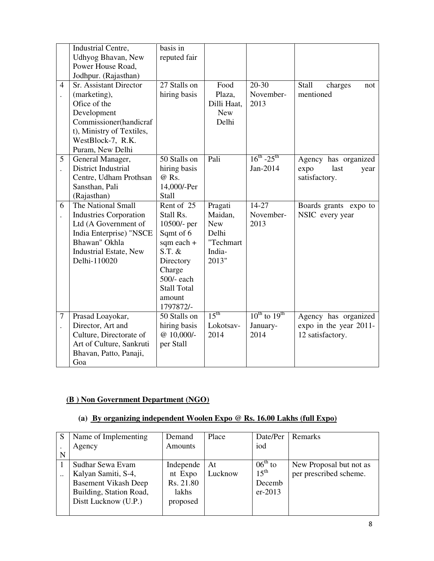|                      | Industrial Centre,            | basis in           |                  |                        |                         |
|----------------------|-------------------------------|--------------------|------------------|------------------------|-------------------------|
|                      | Udhyog Bhavan, New            | reputed fair       |                  |                        |                         |
|                      | Power House Road,             |                    |                  |                        |                         |
|                      | Jodhpur. (Rajasthan)          |                    |                  |                        |                         |
| $\overline{4}$       | Sr. Assistant Director        | 27 Stalls on       | Food             | $20 - 30$              | Stall<br>charges<br>not |
| $\ddot{\phantom{0}}$ | (marketing),                  | hiring basis       | Plaza,           | November-              | mentioned               |
|                      | Ofice of the                  |                    | Dilli Haat,      | 2013                   |                         |
|                      | Development                   |                    | <b>New</b>       |                        |                         |
|                      | Commissioner(handicraf        |                    | Delhi            |                        |                         |
|                      | t), Ministry of Textiles,     |                    |                  |                        |                         |
|                      | WestBlock-7, R.K.             |                    |                  |                        |                         |
|                      | Puram, New Delhi              |                    |                  |                        |                         |
| 5                    | General Manager,              | 50 Stalls on       | Pali             | $16^{th} - 25^{th}$    | Agency has organized    |
|                      | District Industrial           | hiring basis       |                  | Jan-2014               | expo<br>last<br>year    |
|                      | Centre, Udham Prothsan        | @ Rs.              |                  |                        | satisfactory.           |
|                      | Sansthan, Pali                | 14,000/-Per        |                  |                        |                         |
|                      | (Rajasthan)                   | Stall              |                  |                        |                         |
| 6                    | The National Small            | Rent of 25         | Pragati          | $14-27$                | Boards grants expo to   |
| $\ddot{\phantom{0}}$ | <b>Industries Corporation</b> | Stall Rs.          | Maidan,          | November-              | NSIC every year         |
|                      | Ltd (A Government of          | 10500/- per        | <b>New</b>       | 2013                   |                         |
|                      | India Enterprise) "NSCE       | Sqmt of 6          | Delhi            |                        |                         |
|                      | Bhawan" Okhla                 | sqm each +         | "Techmart        |                        |                         |
|                      | <b>Industrial Estate, New</b> | $S.T.$ &           | India-           |                        |                         |
|                      | Delhi-110020                  | Directory          | 2013"            |                        |                         |
|                      |                               | Charge             |                  |                        |                         |
|                      |                               | 500/- each         |                  |                        |                         |
|                      |                               | <b>Stall Total</b> |                  |                        |                         |
|                      |                               | amount             |                  |                        |                         |
|                      |                               | 1797872/-          |                  |                        |                         |
| $\overline{7}$       | Prasad Loayokar,              | 50 Stalls on       | 15 <sup>th</sup> | $10^{th}$ to $19^{th}$ | Agency has organized    |
| $\ddot{\phantom{0}}$ | Director, Art and             | hiring basis       | Lokotsav-        | January-               | expo in the year 2011-  |
|                      | Culture, Directorate of       | $@ 10,000/-$       | 2014             | 2014                   | 12 satisfactory.        |
|                      | Art of Culture, Sankruti      | per Stall          |                  |                        |                         |
|                      | Bhavan, Patto, Panaji,        |                    |                  |                        |                         |
|                      | Goa                           |                    |                  |                        |                         |

## **(B ) Non Government Department (NGO)**

## **(a) By organizing independent Woolen Expo @ Rs. 16.00 Lakhs (full Expo)**

| S                    | Name of Implementing        | Demand    | Place   | Date/Per         | Remarks                 |
|----------------------|-----------------------------|-----------|---------|------------------|-------------------------|
|                      | Agency                      | Amounts   |         | iod              |                         |
| N                    |                             |           |         |                  |                         |
|                      | Sudhar Sewa Evam            | Independe | At      | $06th$ to        | New Proposal but not as |
| $\ddot{\phantom{a}}$ | Kalyan Samiti, S-4,         | nt Expo   | Lucknow | $15^{\text{th}}$ | per prescribed scheme.  |
|                      | <b>Basement Vikash Deep</b> | Rs. 21.80 |         | Decemb           |                         |
|                      | Building, Station Road,     | lakhs     |         | $er-2013$        |                         |
|                      | Dist Lucknow (U.P.)         | proposed  |         |                  |                         |
|                      |                             |           |         |                  |                         |